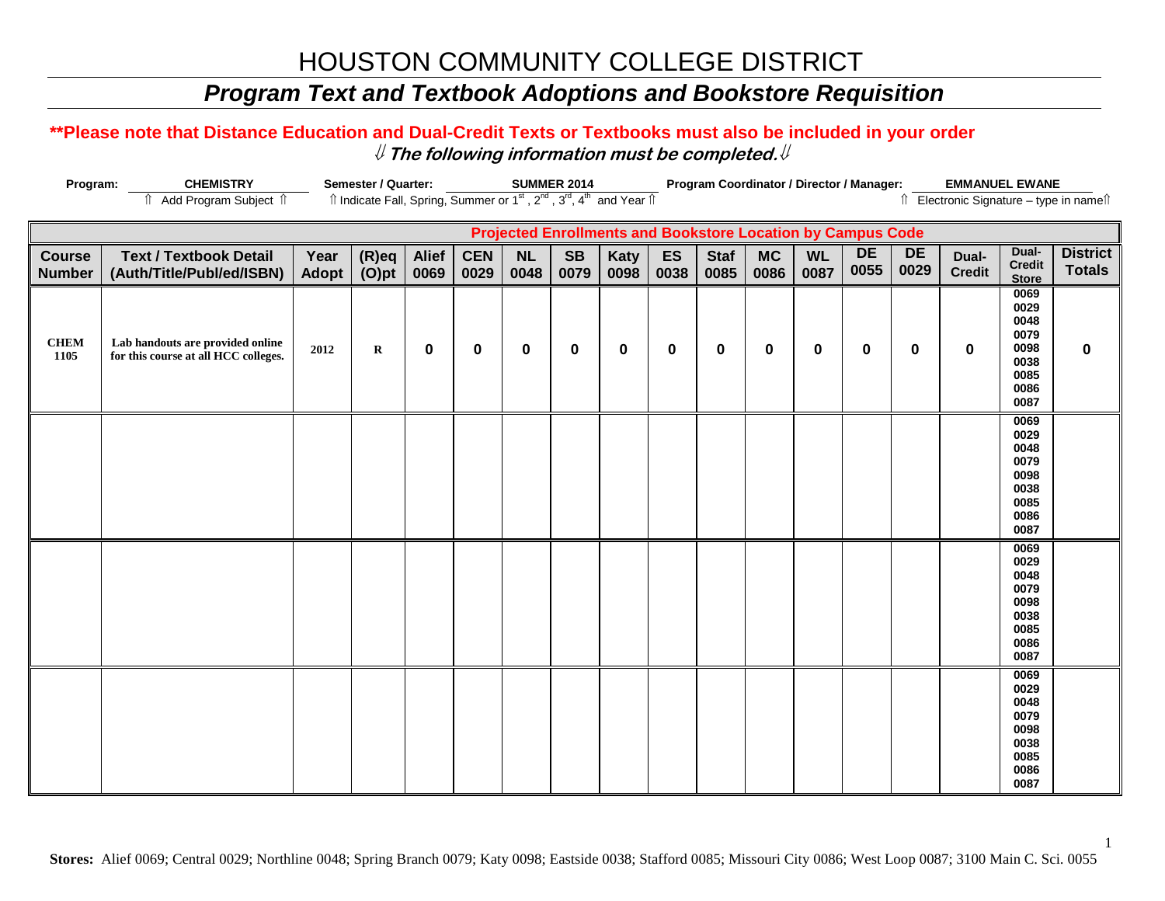## *Program Text and Textbook Adoptions and Bookstore Requisition*

#### **\*\*Please note that Distance Education and Dual-Credit Texts or Textbooks must also be included in your order** ⇓ **The following information must be completed.**⇓

| Program:            | <b>CHEMISTRY</b>                                                         | <b>EMMANUEL EWANE</b><br>Semester / Quarter:<br><b>SUMMER 2014</b><br>Program Coordinator / Director / Manager:                                                   |             |              |             |             |           |             |             |             |                                                                    |           |             |             |               |                                                                                      |                 |
|---------------------|--------------------------------------------------------------------------|-------------------------------------------------------------------------------------------------------------------------------------------------------------------|-------------|--------------|-------------|-------------|-----------|-------------|-------------|-------------|--------------------------------------------------------------------|-----------|-------------|-------------|---------------|--------------------------------------------------------------------------------------|-----------------|
|                     |                                                                          | Îl Indicate Fall, Spring, Summer or 1 <sup>st</sup> , 2 <sup>nd</sup> , 3 <sup>rd</sup> , 4 <sup>th</sup> and Year Îl<br>Î Electronic Signature - type in nameî î |             |              |             |             |           |             |             |             |                                                                    |           |             |             |               |                                                                                      |                 |
|                     |                                                                          |                                                                                                                                                                   |             |              |             |             |           |             |             |             |                                                                    |           |             |             |               |                                                                                      |                 |
|                     |                                                                          |                                                                                                                                                                   |             |              |             |             |           |             |             |             | <b>Projected Enrollments and Bookstore Location by Campus Code</b> |           |             |             |               |                                                                                      |                 |
| <b>Course</b>       | <b>Text / Textbook Detail</b>                                            | Year                                                                                                                                                              | $(R)$ eq    | <b>Alief</b> | <b>CEN</b>  | NL          | <b>SB</b> | Katy        | ES          | <b>Staf</b> | <b>MC</b>                                                          | <b>WL</b> | <b>DE</b>   | DE          | Dual-         | Dual-                                                                                | <b>District</b> |
| <b>Number</b>       | (Auth/Title/Publ/ed/ISBN)                                                | <b>Adopt</b>                                                                                                                                                      | $(O)$ pt    | 0069         | 0029        | 0048        | 0079      | 0098        | 0038        | 0085        | 0086                                                               | 0087      | 0055        | 0029        | <b>Credit</b> | <b>Credit</b>                                                                        | <b>Totals</b>   |
| <b>CHEM</b><br>1105 | Lab handouts are provided online<br>for this course at all HCC colleges. | 2012                                                                                                                                                              | $\mathbf R$ | $\mathbf 0$  | $\mathbf 0$ | $\mathbf 0$ | 0         | $\mathbf 0$ | $\mathbf 0$ | 0           | 0                                                                  | 0         | $\mathbf 0$ | $\mathbf 0$ | $\mathbf 0$   | <b>Store</b><br>0069<br>0029<br>0048<br>0079<br>0098<br>0038<br>0085<br>0086<br>0087 | $\pmb{0}$       |
|                     |                                                                          |                                                                                                                                                                   |             |              |             |             |           |             |             |             |                                                                    |           |             |             |               | 0069<br>0029<br>0048<br>0079<br>0098<br>0038<br>0085<br>0086<br>0087                 |                 |
|                     |                                                                          |                                                                                                                                                                   |             |              |             |             |           |             |             |             |                                                                    |           |             |             |               | 0069<br>0029<br>0048<br>0079<br>0098<br>0038<br>0085<br>0086<br>0087                 |                 |
|                     |                                                                          |                                                                                                                                                                   |             |              |             |             |           |             |             |             |                                                                    |           |             |             |               | 0069<br>0029<br>0048<br>0079<br>0098<br>0038<br>0085<br>0086<br>0087                 |                 |

**Stores:** Alief 0069; Central 0029; Northline 0048; Spring Branch 0079; Katy 0098; Eastside 0038; Stafford 0085; Missouri City 0086; West Loop 0087; 3100 Main C. Sci. 0055

1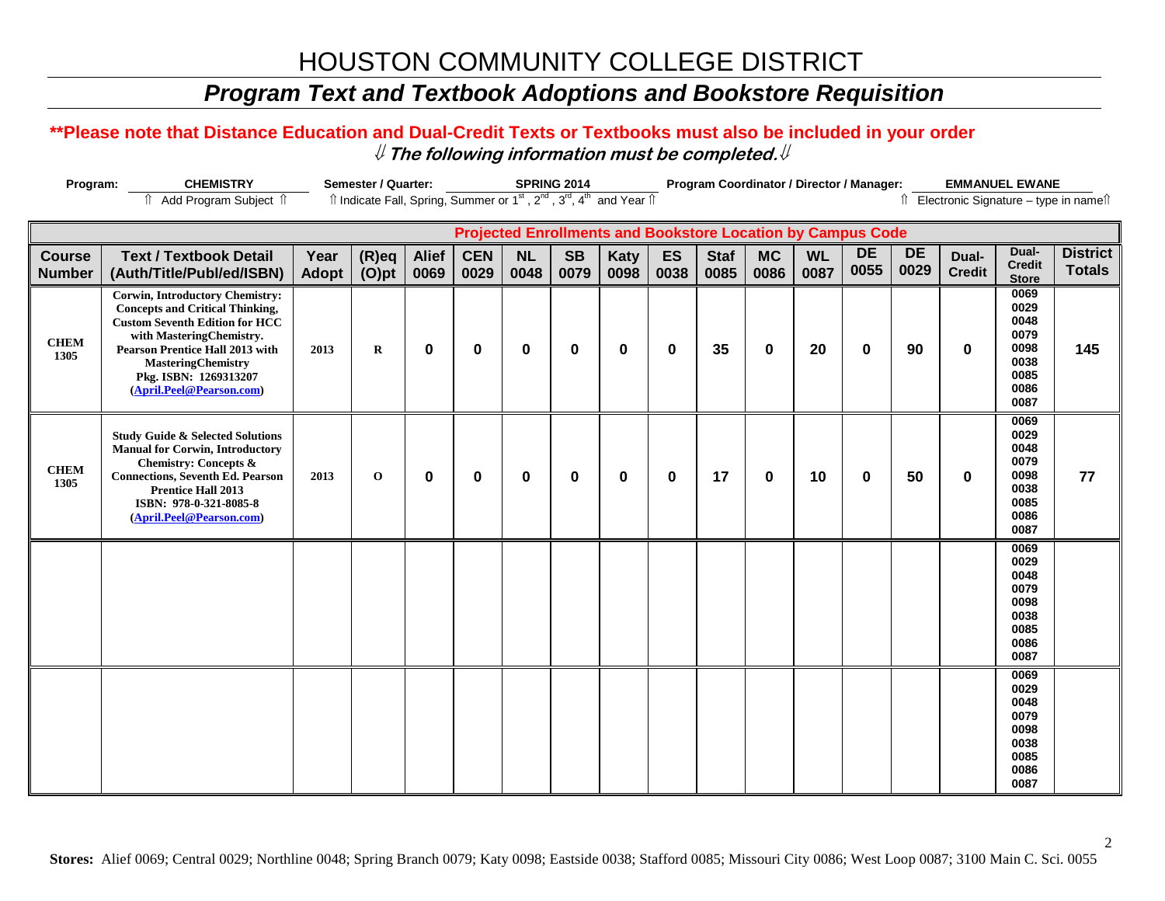## *Program Text and Textbook Adoptions and Bookstore Requisition*

#### **\*\*Please note that Distance Education and Dual-Credit Texts or Textbooks must also be included in your order** ⇓ **The following information must be completed.**⇓

| Program:            | <b>CHEMISTRY</b>                                                                                                                                                                                                                                                           | Semester / Quarter:<br>Program Coordinator / Director / Manager:<br><b>EMMANUEL EWANE</b><br><b>SPRING 2014</b> |                                                                                                                                                                 |              |             |           |           |             |          |             |                                                                    |           |             |           |               |                                                                      |                 |
|---------------------|----------------------------------------------------------------------------------------------------------------------------------------------------------------------------------------------------------------------------------------------------------------------------|-----------------------------------------------------------------------------------------------------------------|-----------------------------------------------------------------------------------------------------------------------------------------------------------------|--------------|-------------|-----------|-----------|-------------|----------|-------------|--------------------------------------------------------------------|-----------|-------------|-----------|---------------|----------------------------------------------------------------------|-----------------|
|                     | î Add Program Subject î                                                                                                                                                                                                                                                    |                                                                                                                 | Îl Indicate Fall, Spring, Summer or 1 <sup>st</sup> , 2 <sup>nd</sup> , 3 <sup>rd</sup> , 4 <sup>th</sup> and Year Îl<br>î Electronic Signature – type in nameî |              |             |           |           |             |          |             |                                                                    |           |             |           |               |                                                                      |                 |
|                     |                                                                                                                                                                                                                                                                            |                                                                                                                 |                                                                                                                                                                 |              |             |           |           |             |          |             |                                                                    |           |             |           |               |                                                                      |                 |
|                     |                                                                                                                                                                                                                                                                            |                                                                                                                 |                                                                                                                                                                 |              |             |           |           |             |          |             | <b>Projected Enrollments and Bookstore Location by Campus Code</b> |           |             |           |               |                                                                      |                 |
| <b>Course</b>       | <b>Text / Textbook Detail</b>                                                                                                                                                                                                                                              | Year                                                                                                            | $(R)$ eq                                                                                                                                                        | <b>Alief</b> | <b>CEN</b>  | <b>NL</b> | <b>SB</b> | <b>Katy</b> | ES       | <b>Staf</b> | <b>MC</b>                                                          | <b>WL</b> | <b>DE</b>   | <b>DE</b> | Dual-         | Dual-<br><b>Credit</b>                                               | <b>District</b> |
| <b>Number</b>       | (Auth/Title/Publ/ed/ISBN)                                                                                                                                                                                                                                                  | <b>Adopt</b>                                                                                                    | $(O)$ pt                                                                                                                                                        | 0069         | 0029        | 0048      | 0079      | 0098        | 0038     | 0085        | 0086                                                               | 0087      | 0055        | 0029      | <b>Credit</b> | <b>Store</b>                                                         | <b>Totals</b>   |
| <b>CHEM</b><br>1305 | <b>Corwin, Introductory Chemistry:</b><br><b>Concepts and Critical Thinking,</b><br><b>Custom Seventh Edition for HCC</b><br>with MasteringChemistry.<br>Pearson Prentice Hall 2013 with<br><b>MasteringChemistry</b><br>Pkg. ISBN: 1269313207<br>(April.Peel@Pearson.com) | 2013                                                                                                            | $\mathbf R$                                                                                                                                                     | 0            | $\mathbf 0$ | 0         | 0         | $\mathbf 0$ | $\bf{0}$ | 35          | $\mathbf 0$                                                        | 20        | $\mathbf 0$ | 90        | 0             | 0069<br>0029<br>0048<br>0079<br>0098<br>0038<br>0085<br>0086<br>0087 | 145             |
| <b>CHEM</b><br>1305 | <b>Study Guide &amp; Selected Solutions</b><br><b>Manual for Corwin, Introductory</b><br>Chemistry: Concepts &<br><b>Connections, Seventh Ed. Pearson</b><br><b>Prentice Hall 2013</b><br>ISBN: 978-0-321-8085-8<br>(April.Peel@Pearson.com)                               | 2013                                                                                                            | $\mathbf 0$                                                                                                                                                     | 0            | $\mathbf 0$ | $\bf{0}$  | 0         | $\mathbf 0$ | $\bf{0}$ | 17          | $\mathbf 0$                                                        | 10        | $\mathbf 0$ | 50        | 0             | 0069<br>0029<br>0048<br>0079<br>0098<br>0038<br>0085<br>0086<br>0087 | 77              |
|                     |                                                                                                                                                                                                                                                                            |                                                                                                                 |                                                                                                                                                                 |              |             |           |           |             |          |             |                                                                    |           |             |           |               | 0069<br>0029<br>0048<br>0079<br>0098<br>0038<br>0085<br>0086<br>0087 |                 |
|                     |                                                                                                                                                                                                                                                                            |                                                                                                                 |                                                                                                                                                                 |              |             |           |           |             |          |             |                                                                    |           |             |           |               | 0069<br>0029<br>0048<br>0079<br>0098<br>0038<br>0085<br>0086<br>0087 |                 |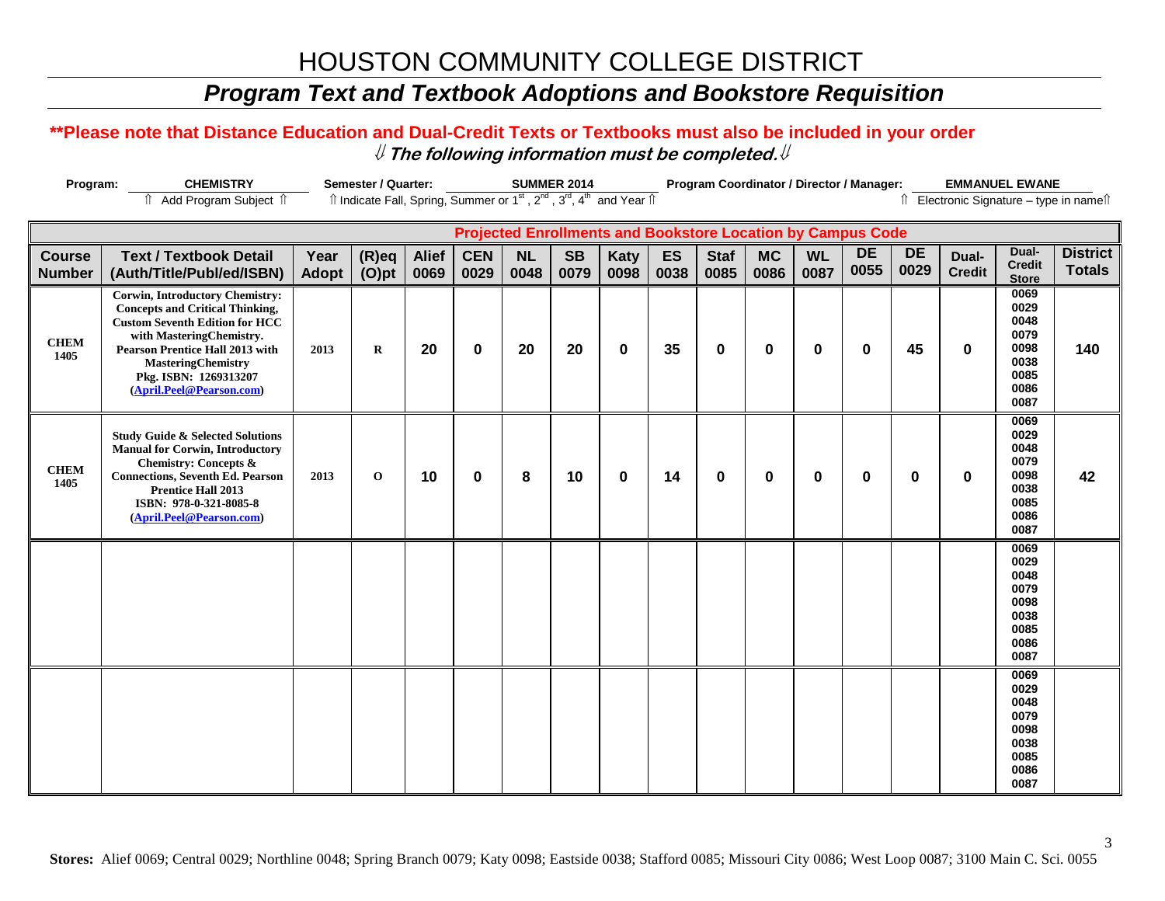## *Program Text and Textbook Adoptions and Bookstore Requisition*

#### **\*\*Please note that Distance Education and Dual-Credit Texts or Textbooks must also be included in your order** ⇓ **The following information must be completed.**⇓

| Program:            | <b>CHEMISTRY</b>                                                                                                                                                                                                                                                           | Semester / Quarter:<br><b>SUMMER 2014</b><br>Program Coordinator / Director / Manager:<br><b>EMMANUEL EWANE</b> |                                                                                                                                                                                  |              |                                                                    |           |           |             |      |             |             |           |             |             |               |                                                                      |                 |
|---------------------|----------------------------------------------------------------------------------------------------------------------------------------------------------------------------------------------------------------------------------------------------------------------------|-----------------------------------------------------------------------------------------------------------------|----------------------------------------------------------------------------------------------------------------------------------------------------------------------------------|--------------|--------------------------------------------------------------------|-----------|-----------|-------------|------|-------------|-------------|-----------|-------------|-------------|---------------|----------------------------------------------------------------------|-----------------|
|                     | î Add Program Subject î                                                                                                                                                                                                                                                    |                                                                                                                 | Îl Indicate Fall, Spring, Summer or 1 <sup>st</sup> , 2 <sup>nd</sup> , 3 <sup>rd</sup> , 4 <sup>th</sup> and Year Îl<br>$\hat{v}$ Electronic Signature – type in name $\hat{v}$ |              |                                                                    |           |           |             |      |             |             |           |             |             |               |                                                                      |                 |
|                     |                                                                                                                                                                                                                                                                            |                                                                                                                 |                                                                                                                                                                                  |              |                                                                    |           |           |             |      |             |             |           |             |             |               |                                                                      |                 |
|                     |                                                                                                                                                                                                                                                                            |                                                                                                                 |                                                                                                                                                                                  |              | <b>Projected Enrollments and Bookstore Location by Campus Code</b> |           |           |             |      |             |             |           |             |             |               |                                                                      |                 |
| <b>Course</b>       | <b>Text / Textbook Detail</b>                                                                                                                                                                                                                                              | Year                                                                                                            | $(R)$ eq                                                                                                                                                                         | <b>Alief</b> | <b>CEN</b>                                                         | <b>NL</b> | <b>SB</b> | <b>Katy</b> | ES   | <b>Staf</b> | <b>MC</b>   | <b>WL</b> | <b>DE</b>   | <b>DE</b>   | Dual-         | Dual-                                                                | <b>District</b> |
| <b>Number</b>       | (Auth/Title/Publ/ed/ISBN)                                                                                                                                                                                                                                                  | <b>Adopt</b>                                                                                                    | $(O)$ pt                                                                                                                                                                         | 0069         | 0029                                                               | 0048      | 0079      | 0098        | 0038 | 0085        | 0086        | 0087      | 0055        | 0029        | <b>Credit</b> | <b>Credit</b><br><b>Store</b>                                        | <b>Totals</b>   |
| <b>CHEM</b><br>1405 | <b>Corwin, Introductory Chemistry:</b><br><b>Concepts and Critical Thinking,</b><br><b>Custom Seventh Edition for HCC</b><br>with MasteringChemistry.<br>Pearson Prentice Hall 2013 with<br><b>MasteringChemistry</b><br>Pkg. ISBN: 1269313207<br>(April.Peel@Pearson.com) | 2013                                                                                                            | $\mathbf R$                                                                                                                                                                      | 20           | $\mathbf 0$                                                        | 20        | 20        | $\mathbf 0$ | 35   | 0           | $\mathbf 0$ | 0         | $\mathbf 0$ | 45          | 0             | 0069<br>0029<br>0048<br>0079<br>0098<br>0038<br>0085<br>0086<br>0087 | 140             |
| <b>CHEM</b><br>1405 | <b>Study Guide &amp; Selected Solutions</b><br><b>Manual for Corwin, Introductory</b><br>Chemistry: Concepts &<br><b>Connections, Seventh Ed. Pearson</b><br><b>Prentice Hall 2013</b><br>ISBN: 978-0-321-8085-8<br>(April.Peel@Pearson.com)                               | 2013                                                                                                            | $\mathbf 0$                                                                                                                                                                      | 10           | $\mathbf 0$                                                        | 8         | 10        | $\mathbf 0$ | 14   | 0           | $\mathbf 0$ | $\bf{0}$  | $\mathbf 0$ | $\mathbf 0$ | 0             | 0069<br>0029<br>0048<br>0079<br>0098<br>0038<br>0085<br>0086<br>0087 | 42              |
|                     |                                                                                                                                                                                                                                                                            |                                                                                                                 |                                                                                                                                                                                  |              |                                                                    |           |           |             |      |             |             |           |             |             |               | 0069<br>0029<br>0048<br>0079<br>0098<br>0038<br>0085<br>0086<br>0087 |                 |
|                     |                                                                                                                                                                                                                                                                            |                                                                                                                 |                                                                                                                                                                                  |              |                                                                    |           |           |             |      |             |             |           |             |             |               | 0069<br>0029<br>0048<br>0079<br>0098<br>0038<br>0085<br>0086<br>0087 |                 |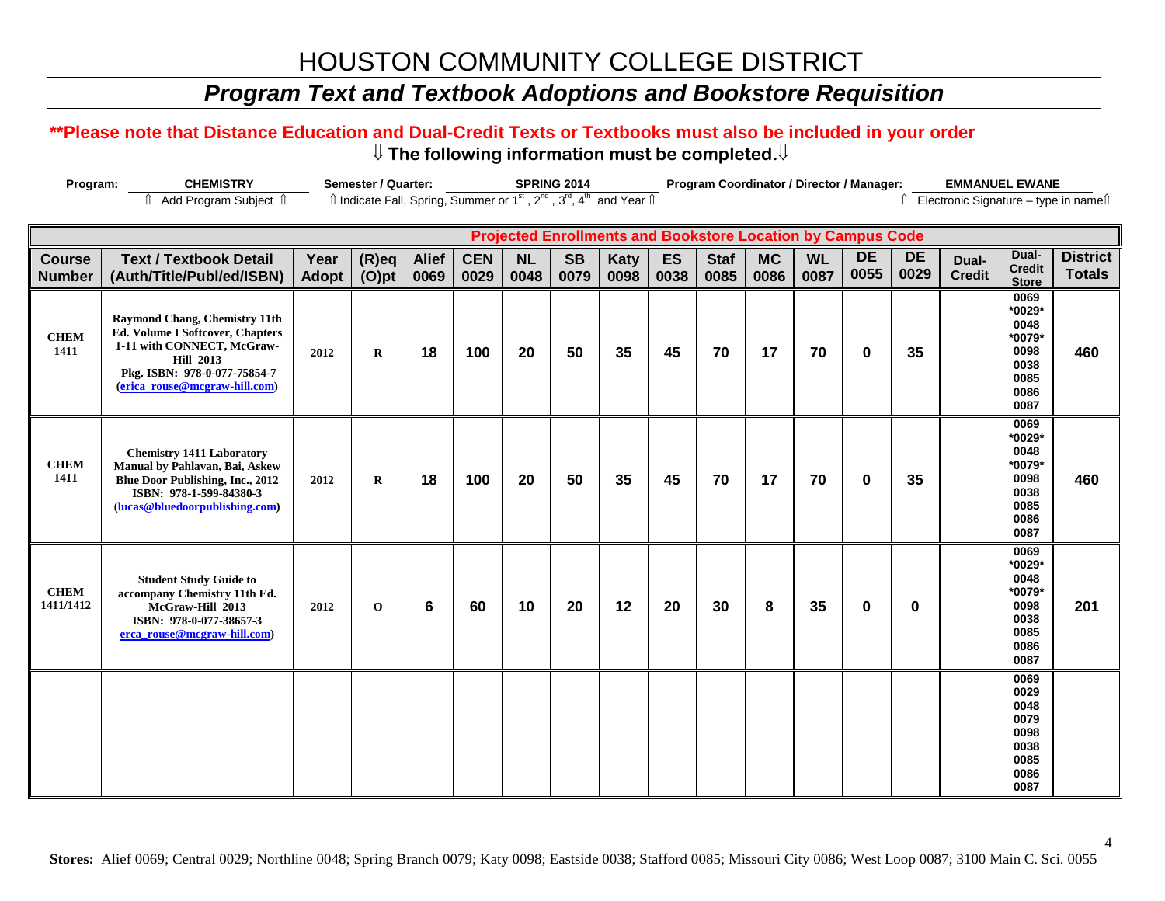## *Program Text and Textbook Adoptions and Bookstore Requisition*

#### **\*\*Please note that Distance Education and Dual-Credit Texts or Textbooks must also be included in your order** ⇓ **The following information must be completed.**⇓

| Program:                       | <b>CHEMISTRY</b>                                                                                                                                                                                   |                      | Semester / Quarter:                                                                                                   |                      |                    |                                                                    | <b>SPRING 2014</b> |                     |                   | Program Coordinator / Director / Manager: |                   |                   |                   |                   |                                        | <b>EMMANUEL EWANE</b>                                                    |                                  |
|--------------------------------|----------------------------------------------------------------------------------------------------------------------------------------------------------------------------------------------------|----------------------|-----------------------------------------------------------------------------------------------------------------------|----------------------|--------------------|--------------------------------------------------------------------|--------------------|---------------------|-------------------|-------------------------------------------|-------------------|-------------------|-------------------|-------------------|----------------------------------------|--------------------------------------------------------------------------|----------------------------------|
|                                | î Add Program Subject î                                                                                                                                                                            |                      | Îl Indicate Fall, Spring, Summer or 1 <sup>st</sup> , 2 <sup>nd</sup> , 3 <sup>rd</sup> , 4 <sup>th</sup> and Year Îl |                      |                    |                                                                    |                    |                     |                   |                                           |                   |                   |                   |                   | î Electronic Signature - type in nameî |                                                                          |                                  |
|                                |                                                                                                                                                                                                    |                      |                                                                                                                       |                      |                    |                                                                    |                    |                     |                   |                                           |                   |                   |                   |                   |                                        |                                                                          |                                  |
|                                |                                                                                                                                                                                                    |                      |                                                                                                                       |                      |                    | <b>Projected Enrollments and Bookstore Location by Campus Code</b> |                    |                     |                   |                                           |                   |                   |                   |                   |                                        |                                                                          |                                  |
| <b>Course</b><br><b>Number</b> | <b>Text / Textbook Detail</b><br>(Auth/Title/Publ/ed/ISBN)                                                                                                                                         | Year<br><b>Adopt</b> | $(R)$ eq<br>$(O)$ pt                                                                                                  | <b>Alief</b><br>0069 | <b>CEN</b><br>0029 | <b>NL</b><br>0048                                                  | <b>SB</b><br>0079  | <b>Katy</b><br>0098 | <b>ES</b><br>0038 | <b>Staf</b><br>0085                       | <b>MC</b><br>0086 | <b>WL</b><br>0087 | <b>DE</b><br>0055 | <b>DE</b><br>0029 | Dual-<br><b>Credit</b>                 | Dual-<br><b>Credit</b><br><b>Store</b>                                   | <b>District</b><br><b>Totals</b> |
| <b>CHEM</b><br>1411            | <b>Raymond Chang, Chemistry 11th</b><br><b>Ed. Volume I Softcover, Chapters</b><br>1-11 with CONNECT, McGraw-<br><b>Hill 2013</b><br>Pkg. ISBN: 978-0-077-75854-7<br>(erica rouse@mcgraw-hill.com) | 2012                 | $\bf R$                                                                                                               | 18                   | 100                | 20                                                                 | 50                 | 35                  | 45                | 70                                        | 17                | 70                | $\bf{0}$          | 35                |                                        | 0069<br>*0029*<br>0048<br>*0079*<br>0098<br>0038<br>0085<br>0086<br>0087 | 460                              |
| <b>CHEM</b><br>1411            | <b>Chemistry 1411 Laboratory</b><br>Manual by Pahlavan, Bai, Askew<br>Blue Door Publishing, Inc., 2012<br>ISBN: 978-1-599-84380-3<br>(lucas@bluedoorpublishing.com)                                | 2012                 | $\bf R$                                                                                                               | 18                   | 100                | 20                                                                 | 50                 | 35                  | 45                | 70                                        | 17                | 70                | $\mathbf 0$       | 35                |                                        | 0069<br>*0029*<br>0048<br>*0079*<br>0098<br>0038<br>0085<br>0086<br>0087 | 460                              |
| <b>CHEM</b><br>1411/1412       | <b>Student Study Guide to</b><br>accompany Chemistry 11th Ed.<br>McGraw-Hill 2013<br>ISBN: 978-0-077-38657-3<br>erca rouse@mcgraw-hill.com)                                                        | 2012                 | $\mathbf 0$                                                                                                           | 6                    | 60                 | 10                                                                 | 20                 | 12                  | 20                | 30                                        | 8                 | 35                | 0                 | $\bf{0}$          |                                        | 0069<br>*0029*<br>0048<br>*0079*<br>0098<br>0038<br>0085<br>0086<br>0087 | 201                              |
|                                |                                                                                                                                                                                                    |                      |                                                                                                                       |                      |                    |                                                                    |                    |                     |                   |                                           |                   |                   |                   |                   |                                        | 0069<br>0029<br>0048<br>0079<br>0098<br>0038<br>0085<br>0086<br>0087     |                                  |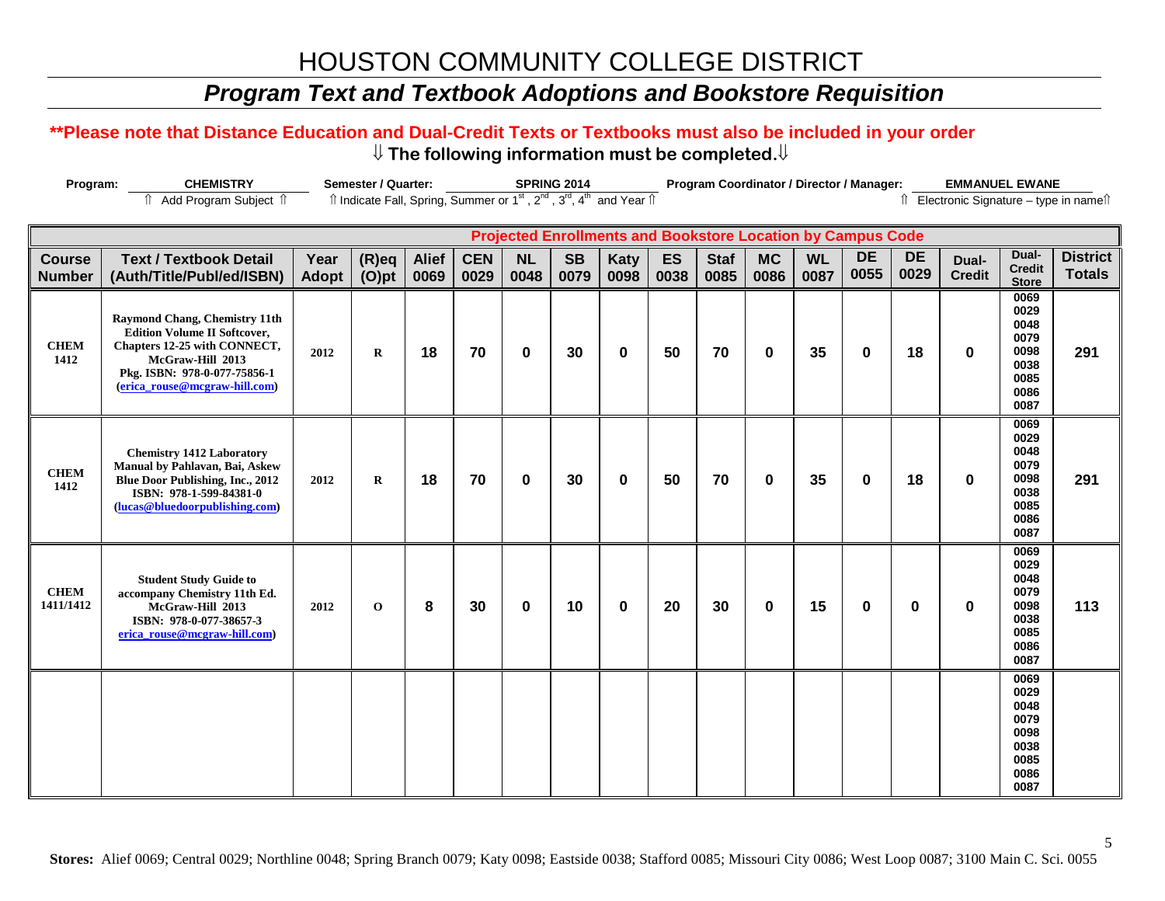## *Program Text and Textbook Adoptions and Bookstore Requisition*

#### **\*\*Please note that Distance Education and Dual-Credit Texts or Textbooks must also be included in your order** ⇓ **The following information must be completed.**⇓

| <b>CHEMISTRY</b><br>Program:   |                                                                                                                                                                                                  |                      | <b>Semester / Quarter:</b>                                                                                            |                      |                    |                   | <b>SPRING 2014</b> | Program Coordinator / Director / Manager: |                   |                     |                                                                    |                   |                   |                   |                                        | <b>EMMANUEL EWANE</b>                                                |                                  |  |
|--------------------------------|--------------------------------------------------------------------------------------------------------------------------------------------------------------------------------------------------|----------------------|-----------------------------------------------------------------------------------------------------------------------|----------------------|--------------------|-------------------|--------------------|-------------------------------------------|-------------------|---------------------|--------------------------------------------------------------------|-------------------|-------------------|-------------------|----------------------------------------|----------------------------------------------------------------------|----------------------------------|--|
|                                | î Add Program Subject î                                                                                                                                                                          |                      | Îl Indicate Fall, Spring, Summer or 1 <sup>st</sup> , 2 <sup>nd</sup> , 3 <sup>rd</sup> , 4 <sup>th</sup> and Year Îl |                      |                    |                   |                    |                                           |                   |                     |                                                                    |                   |                   |                   | î Electronic Signature - type in nameî |                                                                      |                                  |  |
|                                |                                                                                                                                                                                                  |                      |                                                                                                                       |                      |                    |                   |                    |                                           |                   |                     |                                                                    |                   |                   |                   |                                        |                                                                      |                                  |  |
|                                |                                                                                                                                                                                                  |                      |                                                                                                                       |                      |                    |                   |                    |                                           |                   |                     | <b>Projected Enrollments and Bookstore Location by Campus Code</b> |                   |                   |                   |                                        |                                                                      |                                  |  |
| <b>Course</b><br><b>Number</b> | <b>Text / Textbook Detail</b><br>(Auth/Title/Publ/ed/ISBN)                                                                                                                                       | Year<br><b>Adopt</b> | $(R)$ eq<br>$(O)$ pt                                                                                                  | <b>Alief</b><br>0069 | <b>CEN</b><br>0029 | <b>NL</b><br>0048 | <b>SB</b><br>0079  | <b>Katy</b><br>0098                       | <b>ES</b><br>0038 | <b>Staf</b><br>0085 | <b>MC</b><br>0086                                                  | <b>WL</b><br>0087 | <b>DE</b><br>0055 | <b>DE</b><br>0029 | Dual-<br><b>Credit</b>                 | Dual-<br><b>Credit</b><br><b>Store</b>                               | <b>District</b><br><b>Totals</b> |  |
| <b>CHEM</b><br>1412            | <b>Raymond Chang, Chemistry 11th</b><br><b>Edition Volume II Softcover,</b><br>Chapters 12-25 with CONNECT,<br>McGraw-Hill 2013<br>Pkg. ISBN: 978-0-077-75856-1<br>(erica rouse@mcgraw-hill.com) | 2012                 | $\bf R$                                                                                                               | 18                   | 70                 | $\bf{0}$          | 30                 | $\bf{0}$                                  | 50                | 70                  | $\mathbf 0$                                                        | 35                | $\bf{0}$          | 18                | $\bf{0}$                               | 0069<br>0029<br>0048<br>0079<br>0098<br>0038<br>0085<br>0086<br>0087 | 291                              |  |
| <b>CHEM</b><br>1412            | <b>Chemistry 1412 Laboratory</b><br>Manual by Pahlavan, Bai, Askew<br><b>Blue Door Publishing, Inc., 2012</b><br>ISBN: 978-1-599-84381-0<br>(lucas@bluedoorpublishing.com)                       | 2012                 | $\mathbf R$                                                                                                           | 18                   | 70                 | $\bf{0}$          | 30                 | 0                                         | 50                | 70                  | $\mathbf 0$                                                        | 35                | $\bf{0}$          | 18                | $\bf{0}$                               | 0069<br>0029<br>0048<br>0079<br>0098<br>0038<br>0085<br>0086<br>0087 | 291                              |  |
| <b>CHEM</b><br>1411/1412       | <b>Student Study Guide to</b><br>accompany Chemistry 11th Ed.<br>McGraw-Hill 2013<br>ISBN: 978-0-077-38657-3<br>erica rouse@mcgraw-hill.com)                                                     | 2012                 | $\mathbf 0$                                                                                                           | 8                    | 30                 | $\bf{0}$          | 10                 | 0                                         | 20                | 30                  | $\mathbf 0$                                                        | 15                | $\bf{0}$          | 0                 | $\mathbf 0$                            | 0069<br>0029<br>0048<br>0079<br>0098<br>0038<br>0085<br>0086<br>0087 | 113                              |  |
|                                |                                                                                                                                                                                                  |                      |                                                                                                                       |                      |                    |                   |                    |                                           |                   |                     |                                                                    |                   |                   |                   |                                        | 0069<br>0029<br>0048<br>0079<br>0098<br>0038<br>0085<br>0086<br>0087 |                                  |  |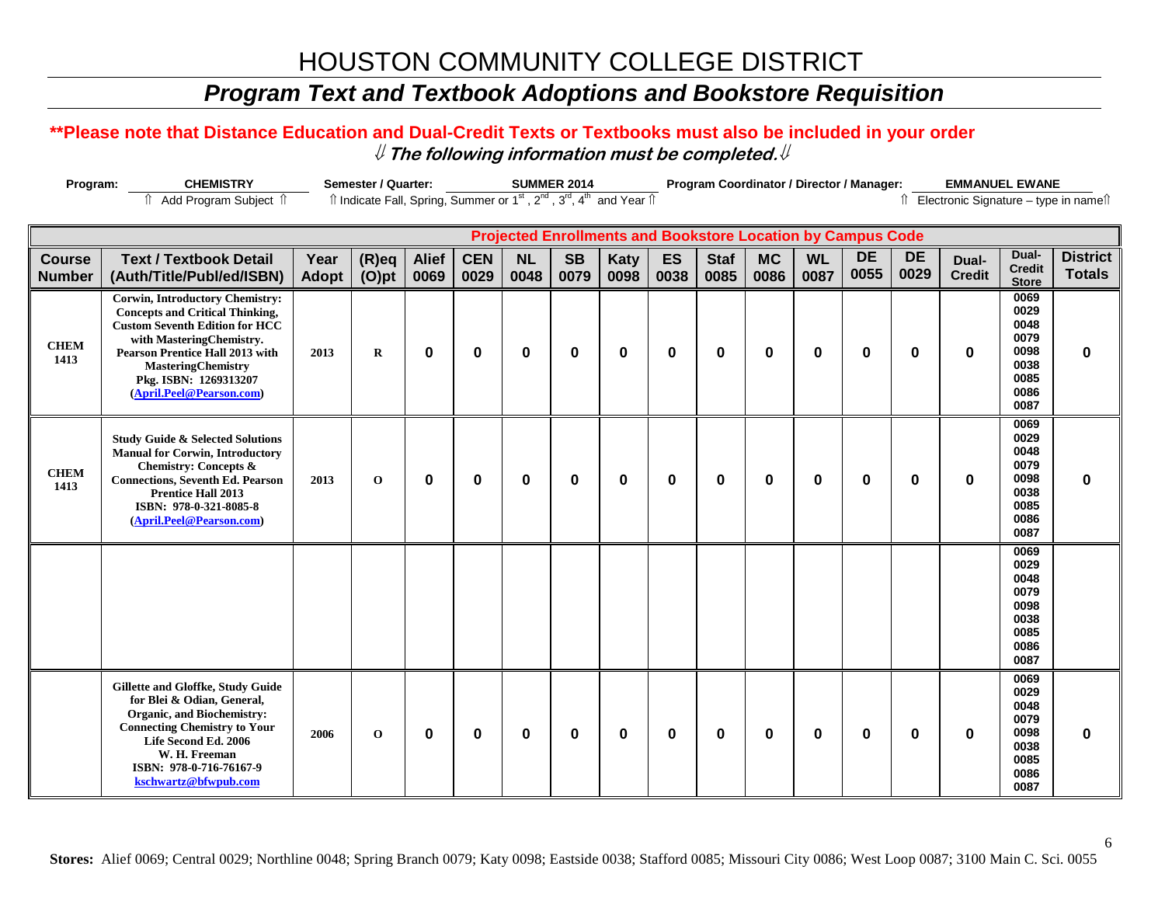## *Program Text and Textbook Adoptions and Bookstore Requisition*

#### **\*\*Please note that Distance Education and Dual-Credit Texts or Textbooks must also be included in your order** ⇓ **The following information must be completed.**⇓

| Program:            | <b>CHEMISTRY</b>                                                                                                                                                                                                                                                                  |       | Semester / Quarter:                                                                                                   |              |             |           | <b>SUMMER 2014</b>                                                 |          | Program Coordinator / Director / Manager:<br><b>EMMANUEL EWANE</b> |             |             |           |           |           |               |                                                                      |                                          |
|---------------------|-----------------------------------------------------------------------------------------------------------------------------------------------------------------------------------------------------------------------------------------------------------------------------------|-------|-----------------------------------------------------------------------------------------------------------------------|--------------|-------------|-----------|--------------------------------------------------------------------|----------|--------------------------------------------------------------------|-------------|-------------|-----------|-----------|-----------|---------------|----------------------------------------------------------------------|------------------------------------------|
|                     | ⇑<br>Add Program Subject 1                                                                                                                                                                                                                                                        |       | Îl Indicate Fall, Spring, Summer or 1 <sup>st</sup> , 2 <sup>nd</sup> , 3 <sup>rd</sup> , 4 <sup>th</sup> and Year Îl |              |             |           |                                                                    |          |                                                                    |             |             |           |           |           |               |                                                                      | Îl Electronic Signature - type in nameîl |
|                     |                                                                                                                                                                                                                                                                                   |       |                                                                                                                       |              |             |           |                                                                    |          |                                                                    |             |             |           |           |           |               |                                                                      |                                          |
|                     |                                                                                                                                                                                                                                                                                   |       |                                                                                                                       |              |             |           | <b>Projected Enrollments and Bookstore Location by Campus Code</b> |          |                                                                    |             |             |           |           |           |               |                                                                      |                                          |
| <b>Course</b>       | <b>Text / Textbook Detail</b>                                                                                                                                                                                                                                                     | Year  | $(R)$ eq                                                                                                              | <b>Alief</b> | <b>CEN</b>  | <b>NL</b> | <b>SB</b>                                                          | Katy     | ES                                                                 | <b>Staf</b> | <b>MC</b>   | <b>WL</b> | <b>DE</b> | <b>DE</b> | Dual-         | Dual-<br><b>Credit</b>                                               | <b>District</b>                          |
| <b>Number</b>       | (Auth/Title/Publ/ed/ISBN)                                                                                                                                                                                                                                                         | Adopt | $(O)$ pt                                                                                                              | 0069         | 0029        | 0048      | 0079                                                               | 0098     | 0038                                                               | 0085        | 0086        | 0087      | 0055      | 0029      | <b>Credit</b> | <b>Store</b>                                                         | <b>Totals</b>                            |
| <b>CHEM</b><br>1413 | <b>Corwin, Introductory Chemistry:</b><br><b>Concepts and Critical Thinking,</b><br><b>Custom Seventh Edition for HCC</b><br>with MasteringChemistry.<br><b>Pearson Prentice Hall 2013 with</b><br><b>MasteringChemistry</b><br>Pkg. ISBN: 1269313207<br>(April.Peel@Pearson.com) | 2013  | $\bf{R}$                                                                                                              | $\bf{0}$     | $\bf{0}$    | 0         | 0                                                                  | $\bf{0}$ | 0                                                                  | 0           | $\bf{0}$    | 0         | 0         | $\bf{0}$  | $\bf{0}$      | 0069<br>0029<br>0048<br>0079<br>0098<br>0038<br>0085<br>0086<br>0087 | $\mathbf 0$                              |
| <b>CHEM</b><br>1413 | <b>Study Guide &amp; Selected Solutions</b><br><b>Manual for Corwin, Introductory</b><br><b>Chemistry: Concepts &amp;</b><br><b>Connections, Seventh Ed. Pearson</b><br><b>Prentice Hall 2013</b><br>ISBN: 978-0-321-8085-8<br>(April.Peel@Pearson.com)                           | 2013  | $\mathbf{O}$                                                                                                          | $\bf{0}$     | $\mathbf 0$ | 0         | $\bf{0}$                                                           | $\bf{0}$ | 0                                                                  | 0           | $\bf{0}$    | 0         | $\bf{0}$  | $\bf{0}$  | $\mathbf{0}$  | 0069<br>0029<br>0048<br>0079<br>0098<br>0038<br>0085<br>0086<br>0087 | $\mathbf 0$                              |
|                     |                                                                                                                                                                                                                                                                                   |       |                                                                                                                       |              |             |           |                                                                    |          |                                                                    |             |             |           |           |           |               | 0069<br>0029<br>0048<br>0079<br>0098<br>0038<br>0085<br>0086<br>0087 |                                          |
|                     | <b>Gillette and Gloffke, Study Guide</b><br>for Blei & Odian, General,<br><b>Organic, and Biochemistry:</b><br><b>Connecting Chemistry to Your</b><br>Life Second Ed. 2006<br>W. H. Freeman<br>ISBN: 978-0-716-76167-9<br>kschwartz@bfwpub.com                                    | 2006  | $\mathbf{O}$                                                                                                          | 0            | 0           | 0         | 0                                                                  | 0        | 0                                                                  | 0           | $\mathbf 0$ | 0         | 0         | 0         | $\bf{0}$      | 0069<br>0029<br>0048<br>0079<br>0098<br>0038<br>0085<br>0086<br>0087 | $\mathbf 0$                              |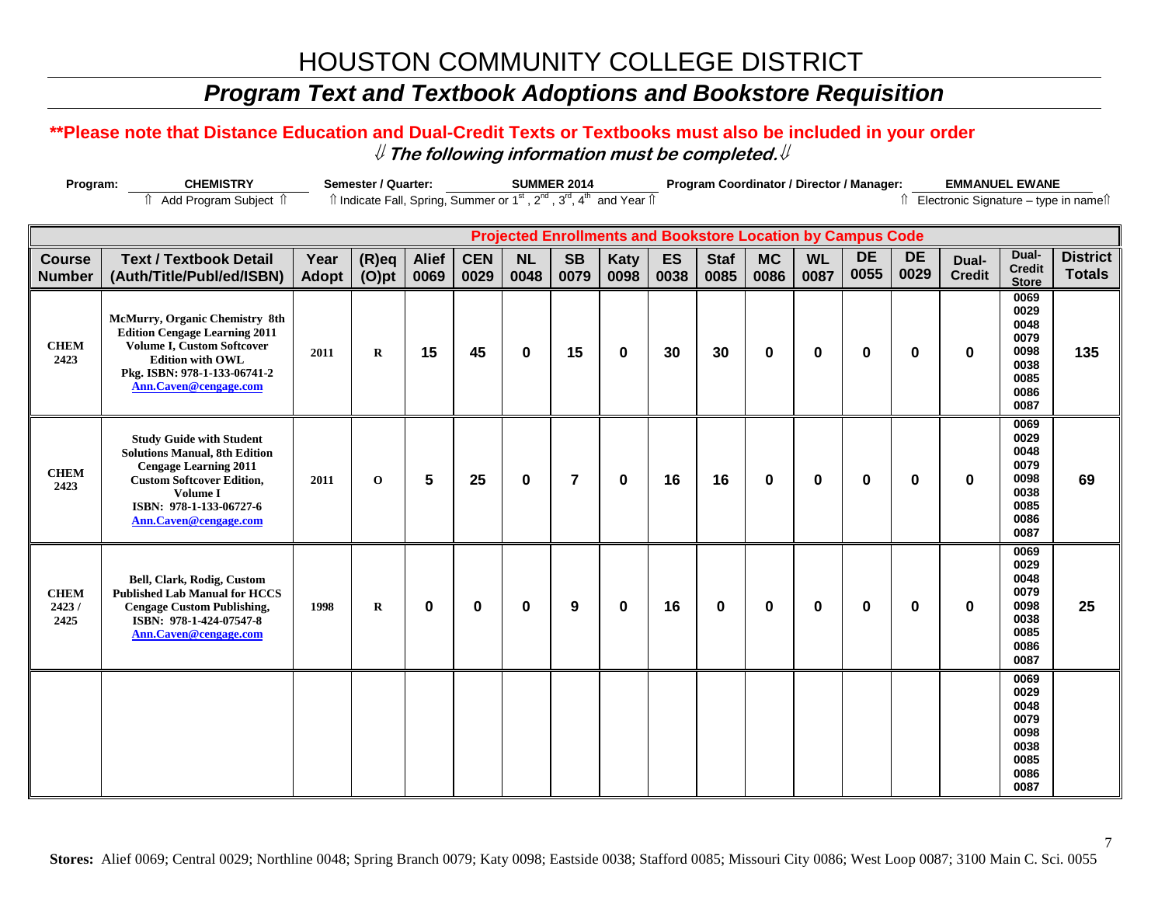## *Program Text and Textbook Adoptions and Bookstore Requisition*

#### **\*\*Please note that Distance Education and Dual-Credit Texts or Textbooks must also be included in your order** ⇓ **The following information must be completed.**⇓

| Program:                     | <b>CHEMISTRY</b>                                                                                                                                                                                                   | Semester / Quarter:<br><b>SUMMER 2014</b><br>Program Coordinator / Director / Manager:<br><b>EMMANUEL EWANE</b><br>Îl Indicate Fall, Spring, Summer or 1 <sup>st</sup> , 2 <sup>nd</sup> , 3 <sup>rd</sup> , 4 <sup>th</sup> and Year Îl |             |              |             |           |                |          |           |             |                                                                    |           |           |           |               |                                                                      |                                        |
|------------------------------|--------------------------------------------------------------------------------------------------------------------------------------------------------------------------------------------------------------------|------------------------------------------------------------------------------------------------------------------------------------------------------------------------------------------------------------------------------------------|-------------|--------------|-------------|-----------|----------------|----------|-----------|-------------|--------------------------------------------------------------------|-----------|-----------|-----------|---------------|----------------------------------------------------------------------|----------------------------------------|
|                              | î Add Program Subject î                                                                                                                                                                                            |                                                                                                                                                                                                                                          |             |              |             |           |                |          |           |             |                                                                    |           |           |           |               |                                                                      | Î Electronic Signature - type in nameî |
|                              |                                                                                                                                                                                                                    |                                                                                                                                                                                                                                          |             |              |             |           |                |          |           |             |                                                                    |           |           |           |               |                                                                      |                                        |
|                              |                                                                                                                                                                                                                    |                                                                                                                                                                                                                                          |             |              |             |           |                |          |           |             | <b>Projected Enrollments and Bookstore Location by Campus Code</b> |           |           |           |               |                                                                      |                                        |
| <b>Course</b>                | <b>Text / Textbook Detail</b>                                                                                                                                                                                      | Year                                                                                                                                                                                                                                     | $(R)$ eq    | <b>Alief</b> | <b>CEN</b>  | <b>NL</b> | <b>SB</b>      | Katy     | <b>ES</b> | <b>Staf</b> | <b>MC</b>                                                          | <b>WL</b> | <b>DE</b> | <b>DE</b> | Dual-         | Dual-                                                                | <b>District</b>                        |
| <b>Number</b>                | (Auth/Title/Publ/ed/ISBN)                                                                                                                                                                                          | Adopt                                                                                                                                                                                                                                    | $(O)$ pt    | 0069         | 0029        | 0048      | 0079           | 0098     | 0038      | 0085        | 0086                                                               | 0087      | 0055      | 0029      | <b>Credit</b> | <b>Credit</b><br><b>Store</b>                                        | <b>Totals</b>                          |
| <b>CHEM</b><br>2423          | McMurry, Organic Chemistry 8th<br><b>Edition Cengage Learning 2011</b><br>Volume I, Custom Softcover<br><b>Edition with OWL</b><br>Pkg. ISBN: 978-1-133-06741-2<br>Ann.Caven@cengage.com                           | 2011                                                                                                                                                                                                                                     | $\mathbf R$ | 15           | 45          | $\bf{0}$  | 15             | $\bf{0}$ | 30        | 30          | $\mathbf 0$                                                        | $\bf{0}$  | 0         | $\bf{0}$  | $\bf{0}$      | 0069<br>0029<br>0048<br>0079<br>0098<br>0038<br>0085<br>0086<br>0087 | 135                                    |
| <b>CHEM</b><br>2423          | <b>Study Guide with Student</b><br><b>Solutions Manual, 8th Edition</b><br><b>Cengage Learning 2011</b><br><b>Custom Softcover Edition,</b><br>Volume I<br>ISBN: 978-1-133-06727-6<br><b>Ann.Caven@cengage.com</b> | 2011                                                                                                                                                                                                                                     | $\mathbf 0$ | 5            | 25          | $\bf{0}$  | $\overline{7}$ | $\bf{0}$ | 16        | 16          | $\mathbf 0$                                                        | $\bf{0}$  | 0         | $\bf{0}$  | $\bf{0}$      | 0069<br>0029<br>0048<br>0079<br>0098<br>0038<br>0085<br>0086<br>0087 | 69                                     |
| <b>CHEM</b><br>2423/<br>2425 | Bell, Clark, Rodig, Custom<br><b>Published Lab Manual for HCCS</b><br><b>Cengage Custom Publishing,</b><br>ISBN: 978-1-424-07547-8<br><b>Ann.Caven@cengage.com</b>                                                 | 1998                                                                                                                                                                                                                                     | $\bf{R}$    | $\bf{0}$     | $\mathbf 0$ | $\bf{0}$  | 9              | $\bf{0}$ | 16        | $\bf{0}$    | $\mathbf 0$                                                        | 0         | 0         | $\bf{0}$  | $\bf{0}$      | 0069<br>0029<br>0048<br>0079<br>0098<br>0038<br>0085<br>0086<br>0087 | 25                                     |
|                              |                                                                                                                                                                                                                    |                                                                                                                                                                                                                                          |             |              |             |           |                |          |           |             |                                                                    |           |           |           |               | 0069<br>0029<br>0048<br>0079<br>0098<br>0038<br>0085<br>0086<br>0087 |                                        |